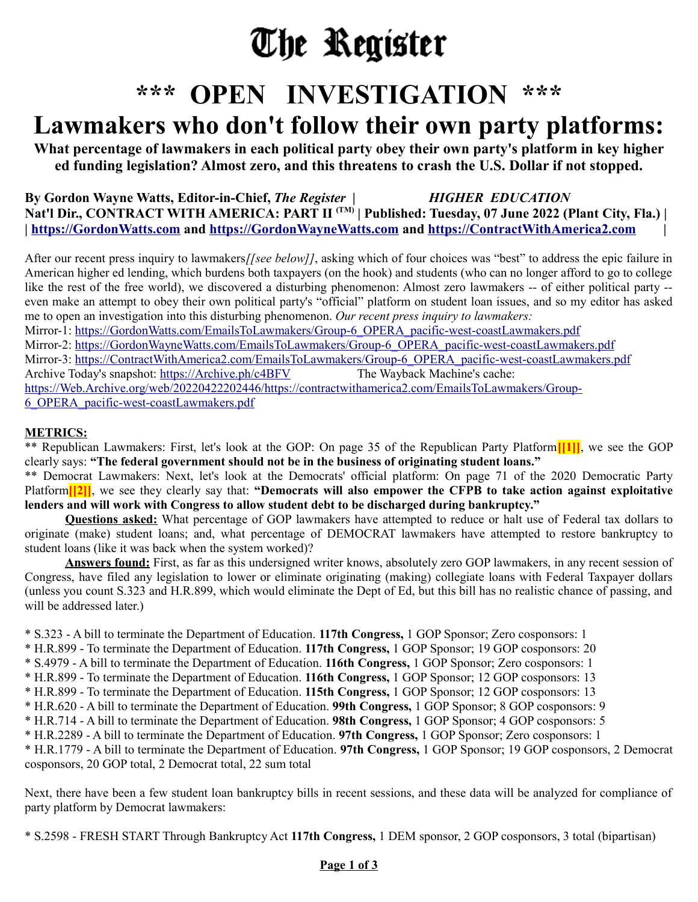# The Register

## **\*\*\* OPEN INVESTIGATION \*\*\***

### **Lawmakers who don't follow their own party platforms:**

**What percentage of lawmakers in each political party obey their own party's platform in key higher ed funding legislation? Almost zero, and this threatens to crash the U.S. Dollar if not stopped.**

**By Gordon Wayne Watts, Editor-in-Chief,** *The Register | HIGHER EDUCATION* **Nat'l Dir., CONTRACT WITH AMERICA: PART II (TM) | Published: Tuesday, 07 June 2022 (Plant City, Fla.) | | [https://GordonWatts.com](https://GordonWatts.com/) and [https://GordonWayneWatts.com](https://GordonWayneWatts.com/) and [https://ContractWithAmerica2.com](https://ContractWithAmerica2.com/) |**

After our recent press inquiry to lawmakers/*[see below]]*, asking which of four choices was "best" to address the epic failure in American higher ed lending, which burdens both taxpayers (on the hook) and students (who can no longer afford to go to college like the rest of the free world), we discovered a disturbing phenomenon: Almost zero lawmakers -- of either political party - even make an attempt to obey their own political party's "official" platform on student loan issues, and so my editor has asked me to open an investigation into this disturbing phenomenon. *Our recent press inquiry to lawmakers:* Mirror-1: [https://GordonWatts.com/EmailsToLawmakers/Group-6\\_OPERA\\_pacific-west-coastLawmakers.pdf](https://GordonWatts.com/EmailsToLawmakers/Group-6_OPERA_pacific-west-coastLawmakers.pdf) Mirror-2: [https://GordonWayneWatts.com/EmailsToLawmakers/Group-6\\_OPERA\\_pacific-west-coastLawmakers.pdf](https://GordonWayneWatts.com/EmailsToLawmakers/Group-6_OPERA_pacific-west-coastLawmakers.pdf) Mirror-3: [https://ContractWithAmerica2.com/EmailsToLawmakers/Group-6\\_OPERA\\_pacific-west-coastLawmakers.pdf](https://ContractWithAmerica2.com/EmailsToLawmakers/Group-6_OPERA_pacific-west-coastLawmakers.pdf) Archive Today's snapshot:<https://Archive.ph/c4BFV> The Wayback Machine's cache:

[https://Web.Archive.org/web/20220422202446/https://contractwithamerica2.com/EmailsToLawmakers/Group-](https://Web.Archive.org/web/20220422202446/https://contractwithamerica2.com/EmailsToLawmakers/Group-6_OPERA_pacific-west-coastLawmakers.pdf)[6\\_OPERA\\_pacific-west-coastLawmakers.pdf](https://Web.Archive.org/web/20220422202446/https://contractwithamerica2.com/EmailsToLawmakers/Group-6_OPERA_pacific-west-coastLawmakers.pdf)

#### **METRICS:**

\*\* Republican Lawmakers: First, let's look at the GOP: On page 35 of the Republican Party Platform**[[1]]**, we see the GOP clearly says: **"The federal government should not be in the business of originating student loans."**

\*\* Democrat Lawmakers: Next, let's look at the Democrats' official platform: On page 71 of the 2020 Democratic Party Platform<sup>[[2]</sup>], we see they clearly say that: "Democrats will also empower the CFPB to take action against exploitative **lenders and will work with Congress to allow student debt to be discharged during bankruptcy."**

**Questions asked:** What percentage of GOP lawmakers have attempted to reduce or halt use of Federal tax dollars to originate (make) student loans; and, what percentage of DEMOCRAT lawmakers have attempted to restore bankruptcy to student loans (like it was back when the system worked)?

**Answers found:** First, as far as this undersigned writer knows, absolutely zero GOP lawmakers, in any recent session of Congress, have filed any legislation to lower or eliminate originating (making) collegiate loans with Federal Taxpayer dollars (unless you count S.323 and H.R.899, which would eliminate the Dept of Ed, but this bill has no realistic chance of passing, and will be addressed later.)

\* S.323 - A bill to terminate the Department of Education. **117th Congress,** 1 GOP Sponsor; Zero cosponsors: 1

\* H.R.899 - To terminate the Department of Education. **117th Congress,** 1 GOP Sponsor; 19 GOP cosponsors: 20

\* S.4979 - A bill to terminate the Department of Education. **116th Congress,** 1 GOP Sponsor; Zero cosponsors: 1

\* H.R.899 - To terminate the Department of Education. **116th Congress,** 1 GOP Sponsor; 12 GOP cosponsors: 13

\* H.R.899 - To terminate the Department of Education. **115th Congress,** 1 GOP Sponsor; 12 GOP cosponsors: 13

\* H.R.620 - A bill to terminate the Department of Education. **99th Congress,** 1 GOP Sponsor; 8 GOP cosponsors: 9

\* H.R.714 - A bill to terminate the Department of Education. **98th Congress,** 1 GOP Sponsor; 4 GOP cosponsors: 5

\* H.R.2289 - A bill to terminate the Department of Education. **97th Congress,** 1 GOP Sponsor; Zero cosponsors: 1

\* H.R.1779 - A bill to terminate the Department of Education. **97th Congress,** 1 GOP Sponsor; 19 GOP cosponsors, 2 Democrat cosponsors, 20 GOP total, 2 Democrat total, 22 sum total

Next, there have been a few student loan bankruptcy bills in recent sessions, and these data will be analyzed for compliance of party platform by Democrat lawmakers:

\* S.2598 - FRESH START Through Bankruptcy Act **117th Congress,** 1 DEM sponsor, 2 GOP cosponsors, 3 total (bipartisan)

#### **Page 1 of 3**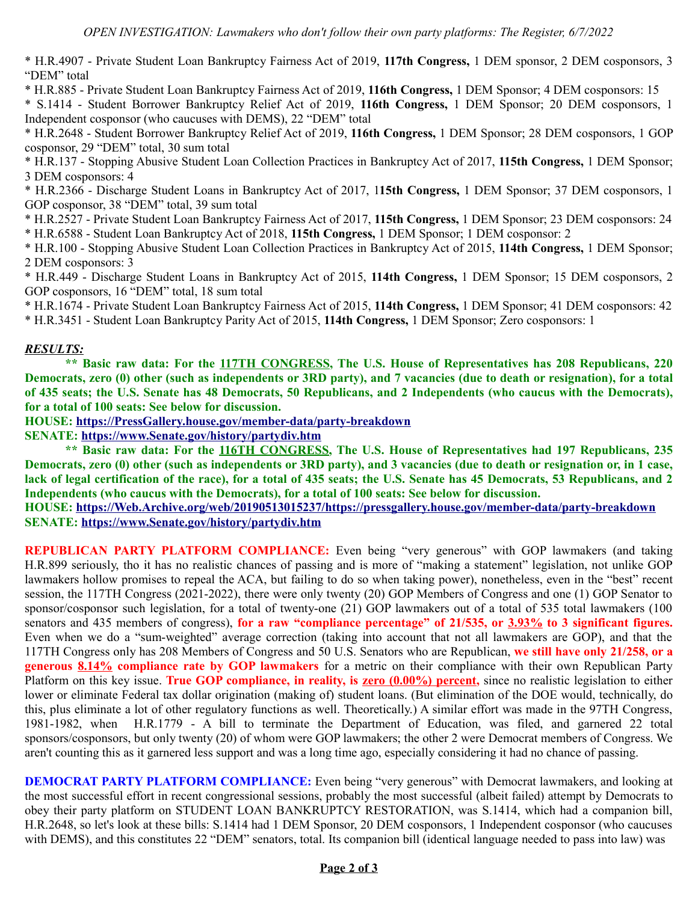\* H.R.4907 - Private Student Loan Bankruptcy Fairness Act of 2019, **117th Congress,** 1 DEM sponsor, 2 DEM cosponsors, 3 "DEM" total

\* H.R.885 - Private Student Loan Bankruptcy Fairness Act of 2019, **116th Congress,** 1 DEM Sponsor; 4 DEM cosponsors: 15

\* S.1414 - Student Borrower Bankruptcy Relief Act of 2019, **116th Congress,** 1 DEM Sponsor; 20 DEM cosponsors, 1 Independent cosponsor (who caucuses with DEMS), 22 "DEM" total

\* H.R.2648 - Student Borrower Bankruptcy Relief Act of 2019, **116th Congress,** 1 DEM Sponsor; 28 DEM cosponsors, 1 GOP cosponsor, 29 "DEM" total, 30 sum total

\* H.R.137 - Stopping Abusive Student Loan Collection Practices in Bankruptcy Act of 2017, **115th Congress,** 1 DEM Sponsor; 3 DEM cosponsors: 4

\* H.R.2366 - Discharge Student Loans in Bankruptcy Act of 2017, 1**15th Congress,** 1 DEM Sponsor; 37 DEM cosponsors, 1 GOP cosponsor, 38 "DEM" total, 39 sum total

\* H.R.2527 - Private Student Loan Bankruptcy Fairness Act of 2017, **115th Congress,** 1 DEM Sponsor; 23 DEM cosponsors: 24 \* H.R.6588 - Student Loan Bankruptcy Act of 2018, **115th Congress,** 1 DEM Sponsor; 1 DEM cosponsor: 2

\* H.R.100 - Stopping Abusive Student Loan Collection Practices in Bankruptcy Act of 2015, **114th Congress,** 1 DEM Sponsor; 2 DEM cosponsors: 3

\* H.R.449 - Discharge Student Loans in Bankruptcy Act of 2015, **114th Congress,** 1 DEM Sponsor; 15 DEM cosponsors, 2 GOP cosponsors, 16 "DEM" total, 18 sum total

\* H.R.1674 - Private Student Loan Bankruptcy Fairness Act of 2015, **114th Congress,** 1 DEM Sponsor; 41 DEM cosponsors: 42 \* H.R.3451 - Student Loan Bankruptcy Parity Act of 2015, **114th Congress,** 1 DEM Sponsor; Zero cosponsors: 1

#### *RESULTS:*

**\*\* Basic raw data: For the 117TH CONGRESS, The U.S. House of Representatives has 208 Republicans, 220 Democrats, zero (0) other (such as independents or 3RD party), and 7 vacancies (due to death or resignation), for a total of 435 seats; the U.S. Senate has 48 Democrats, 50 Republicans, and 2 Independents (who caucus with the Democrats), for a total of 100 seats: See below for discussion.**

**HOUSE:<https://PressGallery.house.gov/member-data/party-breakdown>**

**SENATE:<https://www.Senate.gov/history/partydiv.htm>**

**\*\* Basic raw data: For the 116TH CONGRESS, The U.S. House of Representatives had 197 Republicans, 235 Democrats, zero (0) other (such as independents or 3RD party), and 3 vacancies (due to death or resignation or, in 1 case, lack of legal certification of the race), for a total of 435 seats; the U.S. Senate has 45 Democrats, 53 Republicans, and 2 Independents (who caucus with the Democrats), for a total of 100 seats: See below for discussion.**

**HOUSE:<https://Web.Archive.org/web/20190513015237/https://pressgallery.house.gov/member-data/party-breakdown> SENATE:<https://www.Senate.gov/history/partydiv.htm>**

**REPUBLICAN PARTY PLATFORM COMPLIANCE:** Even being "very generous" with GOP lawmakers (and taking H.R.899 seriously, tho it has no realistic chances of passing and is more of "making a statement" legislation, not unlike GOP lawmakers hollow promises to repeal the ACA, but failing to do so when taking power), nonetheless, even in the "best" recent session, the 117TH Congress (2021-2022), there were only twenty (20) GOP Members of Congress and one (1) GOP Senator to sponsor/cosponsor such legislation, for a total of twenty-one (21) GOP lawmakers out of a total of 535 total lawmakers (100 senators and 435 members of congress), **for a raw "compliance percentage" of 21/535, or 3.93% to 3 significant figures.** Even when we do a "sum-weighted" average correction (taking into account that not all lawmakers are GOP), and that the 117TH Congress only has 208 Members of Congress and 50 U.S. Senators who are Republican, **we still have only 21/258, or a generous 8.14% compliance rate by GOP lawmakers** for a metric on their compliance with their own Republican Party Platform on this key issue. **True GOP compliance, in reality, is zero (0.00%) percent,** since no realistic legislation to either lower or eliminate Federal tax dollar origination (making of) student loans. (But elimination of the DOE would, technically, do this, plus eliminate a lot of other regulatory functions as well. Theoretically.) A similar effort was made in the 97TH Congress, 1981-1982, when H.R.1779 - A bill to terminate the Department of Education, was filed, and garnered 22 total sponsors/cosponsors, but only twenty (20) of whom were GOP lawmakers; the other 2 were Democrat members of Congress. We aren't counting this as it garnered less support and was a long time ago, especially considering it had no chance of passing.

**DEMOCRAT PARTY PLATFORM COMPLIANCE:** Even being "very generous" with Democrat lawmakers, and looking at the most successful effort in recent congressional sessions, probably the most successful (albeit failed) attempt by Democrats to obey their party platform on STUDENT LOAN BANKRUPTCY RESTORATION, was S.1414, which had a companion bill, H.R.2648, so let's look at these bills: S.1414 had 1 DEM Sponsor, 20 DEM cosponsors, 1 Independent cosponsor (who caucuses with DEMS), and this constitutes 22 "DEM" senators, total. Its companion bill (identical language needed to pass into law) was